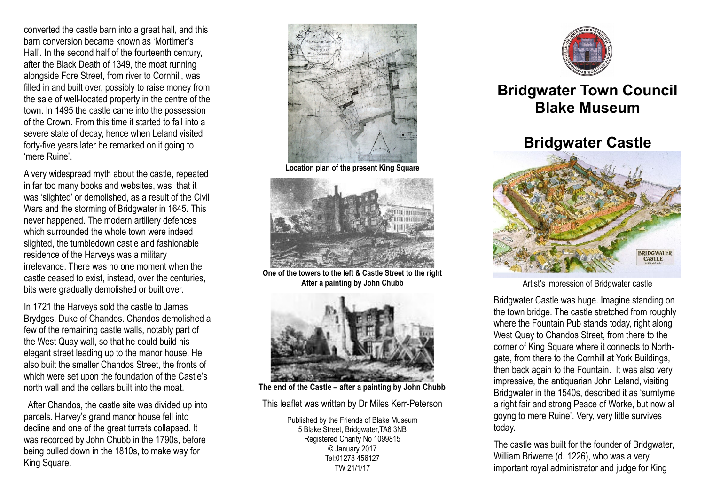converted the castle barn into a great hall, and this barn conversion became known as 'Mortimer's Hall'. In the second half of the fourteenth century, after the Black Death of 1349, the moat running alongside Fore Street, from river to Cornhill, was filled in and built over, possibly to raise money from the sale of well-located property in the centre of the town. In 1495 the castle came into the possession of the Crown. From this time it started to fall into a severe state of decay, hence when Leland visited forty-five years later he remarked on it going to 'mere Ruine'.

A very widespread myth about the castle, repeated in far too many books and websites, was that it was 'slighted' or demolished, as a result of the Civil Wars and the storming of Bridgwater in 1645. This never happened. The modern artillery defences which surrounded the whole town were indeed slighted, the tumbledown castle and fashionable residence of the Harveys was a military irrelevance. There was no one moment when the castle ceased to exist, instead, over the centuries, bits were gradually demolished or built over.

In 1721 the Harveys sold the castle to James Brydges, Duke of Chandos. Chandos demolished a few of the remaining castle walls, notably part of the West Quay wall, so that he could build his elegant street leading up to the manor house. He also built the smaller Chandos Street, the fronts of which were set upon the foundation of the Castle's north wall and the cellars built into the moat.

 After Chandos, the castle site was divided up into parcels. Harvey's grand manor house fell into decline and one of the great turrets collapsed. It was recorded by John Chubb in the 1790s, before being pulled down in the 1810s, to make way for King Square.



**Location plan of the present King Square**



**One of the towers to the left & Castle Street to the right After a painting by John Chubb**



**The end of the Castle – after a painting by John Chubb**

This leaflet was written by Dr Miles Kerr-Peterson

Published by the Friends of Blake Museum 5 Blake Street, Bridgwater,TA6 3NB Registered Charity No 1099815 © January 2017 Tel:01278 456127 TW 21/1/17



## **Bridgwater Town Council Blake Museum**

## **Bridgwater Castle**



Artist's impression of Bridgwater castle

Bridgwater Castle was huge. Imagine standing on the town bridge. The castle stretched from roughly where the Fountain Pub stands today, right along West Quay to Chandos Street, from there to the corner of King Square where it connects to Northgate, from there to the Cornhill at York Buildings, then back again to the Fountain. It was also very impressive, the antiquarian John Leland, visiting Bridgwater in the 1540s, described it as 'sumtyme a right fair and strong Peace of Worke, but now al goyng to mere Ruine'. Very, very little survives today.

The castle was built for the founder of Bridgwater, William Briwerre (d. 1226), who was a very important royal administrator and judge for King